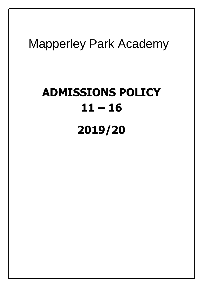# Mapperley Park Academy

# **ADMISSIONS POLICY 11 – 16 2019/20**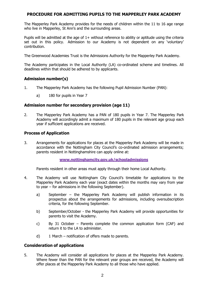# **PROCEDURE FOR ADMITTING PUPILS TO THE MAPPERLEY PARK ACADEMY**

The Mapperley Park Academy provides for the needs of children within the 11 to 16 age range who live in Mapperley, St Ann's and the surrounding areas.

Pupils will be admitted at the age of 1+ without reference to ability or aptitude using the criteria set out in this policy. Admission to our Academy is not dependent on any 'voluntary' contribution.

The Greenwood Academies Trust is the Admissions Authority for the Mapperley Park Academy.

The Academy participates in the Local Authority (LA) co-ordinated scheme and timelines. All deadlines within that should be adhered to by applicants.

# **Admission number(s)**

- 1. The Mapperley Park Academy has the following Pupil Admission Number (PAN):
	- a) 180 for pupils in Year 7

#### **Admission number for secondary provision (age 11)**

2. The Mapperley Park Academy has a PAN of 180 pupils in Year 7. The Mapperley Park Academy will accordingly admit a maximum of 180 pupils in the relevant age group each year if sufficient applications are received.

#### **Process of Application**

3. Arrangements for applications for places at the Mapperley Park Academy will be made in accordance with the Nottingham City Council's co-ordinated admission arrangements; parents resident in Nottinghamshire can apply online at:

#### **[www.nottinghamcity.gov.uk/schooladmissions](http://www.nottinghamcity.gov.uk/schooladmissions)**

Parents resident in other areas must apply through their home Local Authority.

- 4. The Academy will use Nottingham City Council's timetable for applications to the Mapperley Park Academy each year (exact dates within the months may vary from year to year – for admissions in the following September).
	- a) September the Mapperley Park Academy will publish information in its prospectus about the arrangements for admissions, including oversubscription criteria, for the following September.
	- b) September/October the Mapperley Park Academy will provide opportunities for parents to visit the Academy.
	- c) By 31 October Parents complete the common application form (CAF) and return it to the LA to administer.
	- d) 1 March notification of offers made to parents.

### **Consideration of applications**

5. The Academy will consider all applications for places at the Mapperley Park Academy. Where fewer than the PAN for the relevant year groups are received, the Academy will offer places at the Mapperley Park Academy to all those who have applied.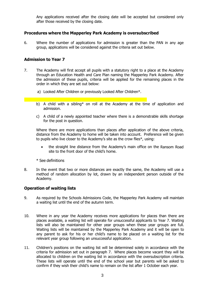Any applications received after the closing date will be accepted but considered only after those received by the closing date.

## **Procedures where the Mapperley Park Academy is oversubscribed**

6. Where the number of applications for admission is greater than the PAN in any age group, applications will be considered against the criteria set out below.

### **Admission to Year 7**

- 7. The Academy will first accept all pupils with a statutory right to a place at the Academy through an Education Health and Care Plan naming the Mapperley Park Academy. After the admission of these pupils, criteria will be applied for the remaining places in the order in which they are set out below:
	- a) Looked After Children or previously Looked After Children\*.
	- b) A child with a sibling\* on roll at the Academy at the time of application and admission.
	- c) A child of a newly appointed teacher where there is a demonstrable skills shortage for the post in question.

Where there are more applications than places after application of the above criteria, distance from the Academy to home will be taken into account. Preference will be given to pupils who live closer to the Academy's site as the crow flies\*, using:

- the straight line distance from the Academy's main office on the Ransom Road site to the front door of the child's home.
- \* See definitions
- 8. In the event that two or more distances are exactly the same, the Academy will use a method of random allocation by lot, drawn by an independent person outside of the Academy.

# **Operation of waiting lists**

- 9. As required by the Schools Admissions Code, the Mapperley Park Academy will maintain a waiting list until the end of the autumn term.
- 10. Where in any year the Academy receives more applications for places than there are places available, a waiting list will operate for unsuccessful applicants to Year 7. Waiting lists will also be maintained for other year groups when these year groups are full. Waiting lists will be maintained by the Mapperley Park Academy and it will be open to any parent to ask for his or her child's name to be placed on a waiting list for the relevant year group following an unsuccessful application.
- 11. Children's positions on the waiting list will be determined solely in accordance with the criteria for admission set out in paragraph 7. Where places become vacant they will be allocated to children on the waiting list in accordance with the oversubscription criteria. These lists will operate until the end of the school year but parents will be asked to confirm if they wish their child's name to remain on the list after 1 October each year.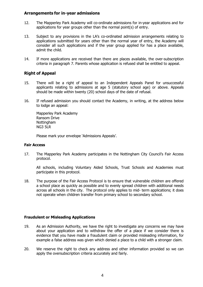### **Arrangements for in-year admissions**

- 12. The Mapperley Park Academy will co-ordinate admissions for in-year applications and for applications for year groups other than the normal point(s) of entry.
- 13. Subject to any provisions in the LA's co-ordinated admission arrangements relating to applications submitted for years other than the normal year of entry, the Academy will consider all such applications and if the year group applied for has a place available, admit the child.
- 14. If more applications are received than there are places available, the over-subscription criteria in paragraph 7. Parents whose application is refused shall be entitled to appeal.

# **Right of Appeal**

- 15. There will be a right of appeal to an Independent Appeals Panel for unsuccessful applicants relating to admissions at age 5 (statutory school age) or above. Appeals should be made within twenty (20) school days of the date of refusal.
- 16. If refused admission you should contact the Academy, in writing, at the address below to lodge an appeal:

Mapperley Park Academy Ransom Drive **Nottingham** NG3 5LR

Please mark your envelope 'Admissions Appeals'.

#### **Fair Access**

17. The Mapperley Park Academy participates in the Nottingham City Council's Fair Access protocol.

All schools, including Voluntary Aided Schools, Trust Schools and Academies must participate in this protocol.

18. The purpose of the Fair Access Protocol is to ensure that vulnerable children are offered a school place as quickly as possible and to evenly spread children with additional needs across all schools in the city. The protocol only applies to mid- term applications; it does not operate when children transfer from primary school to secondary school.

#### **Fraudulent or Misleading Applications**

- 19. As an Admission Authority, we have the right to investigate any concerns we may have about your application and to withdraw the offer of a place if we consider there is evidence that you have made a fraudulent claim or provided misleading information, for example a false address was given which denied a place to a child with a stronger claim.
- 20. We reserve the right to check any address and other information provided so we can apply the oversubscription criteria accurately and fairly.